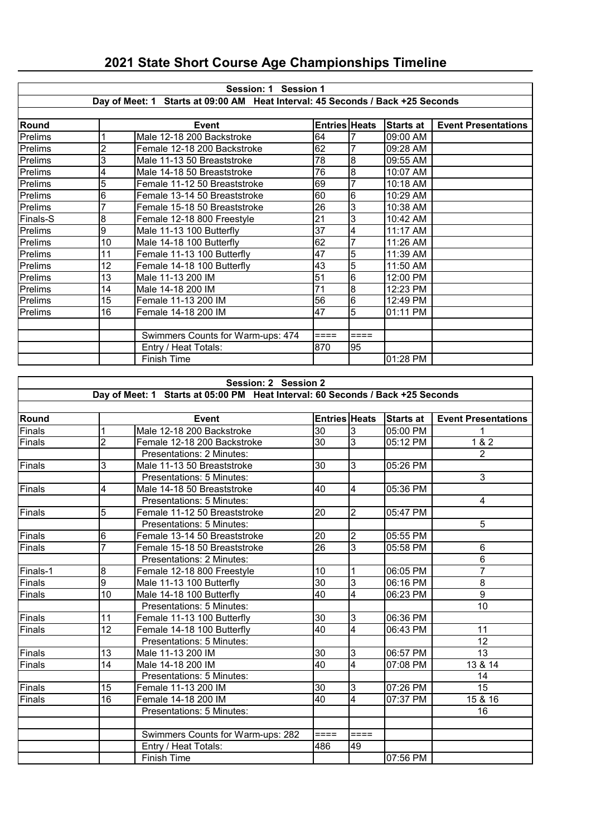|                                                                                | Session: 1 Session 1 |                                   |                      |        |                  |                            |  |  |  |
|--------------------------------------------------------------------------------|----------------------|-----------------------------------|----------------------|--------|------------------|----------------------------|--|--|--|
| Day of Meet: 1 Starts at 09:00 AM Heat Interval: 45 Seconds / Back +25 Seconds |                      |                                   |                      |        |                  |                            |  |  |  |
|                                                                                |                      |                                   |                      |        |                  |                            |  |  |  |
| <b>Round</b>                                                                   |                      | <b>Event</b>                      | <b>Entries Heats</b> |        | <b>Starts at</b> | <b>Event Presentations</b> |  |  |  |
| Prelims                                                                        |                      | Male 12-18 200 Backstroke         | 64                   |        | 09:00 AM         |                            |  |  |  |
| Prelims                                                                        | $\overline{2}$       | Female 12-18 200 Backstroke       | 62                   | 7      | 09:28 AM         |                            |  |  |  |
| Prelims                                                                        | 3                    | Male 11-13 50 Breaststroke        | 78                   | 8      | 09:55 AM         |                            |  |  |  |
| Prelims                                                                        | 4                    | Male 14-18 50 Breaststroke        | 76                   | 8      | 10:07 AM         |                            |  |  |  |
| Prelims                                                                        | 5                    | Female 11-12 50 Breaststroke      | 69                   | 7      | 10:18 AM         |                            |  |  |  |
| Prelims                                                                        | 6                    | Female 13-14 50 Breaststroke      | 60                   | 6      | 10:29 AM         |                            |  |  |  |
| Prelims                                                                        |                      | Female 15-18 50 Breaststroke      | 26                   | 3      | 10:38 AM         |                            |  |  |  |
| Finals-S                                                                       | 8                    | Female 12-18 800 Freestyle        | 21                   | 3      | 10:42 AM         |                            |  |  |  |
| Prelims                                                                        | 9                    | Male 11-13 100 Butterfly          | 37                   | 4      | 11:17 AM         |                            |  |  |  |
| Prelims                                                                        | 10                   | Male 14-18 100 Butterfly          | 62                   | 7      | 11:26 AM         |                            |  |  |  |
| Prelims                                                                        | 11                   | Female 11-13 100 Butterfly        | 47                   | 5      | 11:39 AM         |                            |  |  |  |
| Prelims                                                                        | 12                   | Female 14-18 100 Butterfly        | 43                   | 5      | 11:50 AM         |                            |  |  |  |
| Prelims                                                                        | 13                   | Male 11-13 200 IM                 | 51                   | 6      | 12:00 PM         |                            |  |  |  |
| Prelims                                                                        | 14                   | Male 14-18 200 IM                 | 71                   | 8      | 12:23 PM         |                            |  |  |  |
| Prelims                                                                        | 15                   | Female 11-13 200 IM               | 56                   | 6      | 12:49 PM         |                            |  |  |  |
| Prelims                                                                        | 16                   | Female 14-18 200 IM               | 47                   | 5      | 01:11 PM         |                            |  |  |  |
|                                                                                |                      |                                   |                      |        |                  |                            |  |  |  |
|                                                                                |                      | Swimmers Counts for Warm-ups: 474 | $====$               | $====$ |                  |                            |  |  |  |
|                                                                                |                      | Entry / Heat Totals:              | 870                  | 95     |                  |                            |  |  |  |
|                                                                                |                      | <b>Finish Time</b>                |                      |        | 01:28 PM         |                            |  |  |  |

## **2021 State Short Course Age Championships Timeline**

|          | Session: 2 Session 2    |                                                                                |                      |                |                        |                            |  |  |
|----------|-------------------------|--------------------------------------------------------------------------------|----------------------|----------------|------------------------|----------------------------|--|--|
|          |                         | Day of Meet: 1 Starts at 05:00 PM Heat Interval: 60 Seconds / Back +25 Seconds |                      |                |                        |                            |  |  |
|          |                         |                                                                                |                      |                |                        |                            |  |  |
| Round    |                         | <b>Event</b>                                                                   | <b>Entries Heats</b> |                | <b>Starts at</b>       | <b>Event Presentations</b> |  |  |
| Finals   | $\mathbf 1$             | Male 12-18 200 Backstroke                                                      | 30                   | 3              | 05:00 PM               |                            |  |  |
| Finals   | $\overline{2}$          | Female 12-18 200 Backstroke                                                    | 30                   | 3              | 05:12 PM               | 1 & 2                      |  |  |
|          |                         | Presentations: 2 Minutes:                                                      |                      |                |                        | $\overline{2}$             |  |  |
| Finals   | 3                       | Male 11-13 50 Breaststroke                                                     | 30                   | 3              | $\overline{05}$ :26 PM |                            |  |  |
|          |                         | Presentations: 5 Minutes:                                                      |                      |                |                        | 3                          |  |  |
| Finals   | $\overline{\mathbf{4}}$ | Male 14-18 50 Breaststroke                                                     | 40                   | $\overline{4}$ | 05:36 PM               |                            |  |  |
|          |                         | Presentations: 5 Minutes:                                                      |                      |                |                        | $\overline{4}$             |  |  |
| Finals   | 5                       | Female 11-12 50 Breaststroke                                                   | 20                   | $\overline{2}$ | 05:47 PM               |                            |  |  |
|          |                         | Presentations: 5 Minutes:                                                      |                      |                |                        | 5                          |  |  |
| Finals   | 6                       | Female 13-14 50 Breaststroke                                                   | 20                   | 2              | 05:55 PM               |                            |  |  |
| Finals   | 7                       | Female 15-18 50 Breaststroke                                                   | 26                   | $\overline{3}$ | 05:58 PM               | 6                          |  |  |
|          |                         | Presentations: 2 Minutes:                                                      |                      |                |                        | 6                          |  |  |
| Finals-1 | $\overline{8}$          | Female 12-18 800 Freestyle                                                     | 10                   | 1              | 06:05 PM               | $\overline{7}$             |  |  |
| Finals   | $\overline{9}$          | Male 11-13 100 Butterfly                                                       | $\overline{30}$      | 3              | 06:16 PM               | $\overline{8}$             |  |  |
| Finals   | $\overline{10}$         | Male 14-18 100 Butterfly                                                       | 40                   | $\overline{4}$ | 06:23 PM               | $\overline{9}$             |  |  |
|          |                         | Presentations: 5 Minutes:                                                      |                      |                |                        | 10                         |  |  |
| Finals   | 11                      | Female 11-13 100 Butterfly                                                     | 30                   | $\overline{3}$ | 06:36 PM               |                            |  |  |
| Finals   | 12                      | Female 14-18 100 Butterfly                                                     | $\overline{40}$      | $\overline{4}$ | 06:43 PM               | 11                         |  |  |
|          |                         | Presentations: 5 Minutes:                                                      |                      |                |                        | 12                         |  |  |
| Finals   | 13                      | Male 11-13 200 IM                                                              | 30                   | 3              | 06:57 PM               | 13                         |  |  |
| Finals   | 14                      | Male 14-18 200 IM                                                              | 40                   | 4              | 07:08 PM               | 13 & 14                    |  |  |
|          |                         | Presentations: 5 Minutes:                                                      |                      |                |                        | 14                         |  |  |
| Finals   | 15                      | Female 11-13 200 IM                                                            | 30                   | 3              | 07:26 PM               | 15                         |  |  |
| Finals   | $\overline{16}$         | Female 14-18 200 IM                                                            | 40                   | $\overline{4}$ | 07:37 PM               | 15 & 16                    |  |  |
|          |                         | Presentations: 5 Minutes:                                                      |                      |                |                        | 16                         |  |  |
|          |                         |                                                                                |                      |                |                        |                            |  |  |
|          |                         | Swimmers Counts for Warm-ups: 282                                              | $====$               | ====           |                        |                            |  |  |
|          |                         | Entry / Heat Totals:                                                           | 486                  | 49             |                        |                            |  |  |
|          |                         | <b>Finish Time</b>                                                             |                      |                | 07:56 PM               |                            |  |  |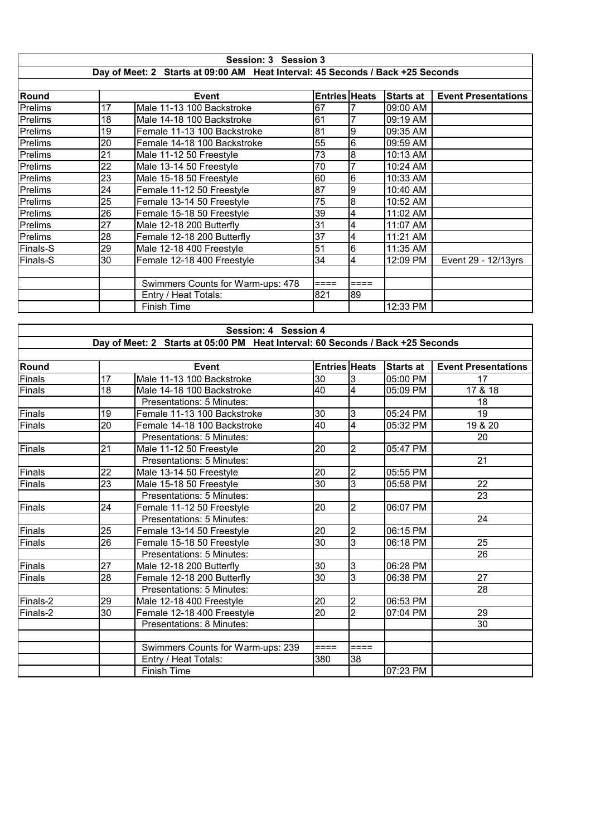|                                                                                |    | Session: 3 Session 3              |                      |      |                  |                            |  |  |  |
|--------------------------------------------------------------------------------|----|-----------------------------------|----------------------|------|------------------|----------------------------|--|--|--|
| Day of Meet: 2 Starts at 09:00 AM Heat Interval: 45 Seconds / Back +25 Seconds |    |                                   |                      |      |                  |                            |  |  |  |
|                                                                                |    |                                   |                      |      |                  |                            |  |  |  |
| Round                                                                          |    | <b>Event</b>                      | <b>Entries Heats</b> |      | <b>Starts at</b> | <b>Event Presentations</b> |  |  |  |
| Prelims                                                                        | 17 | Male 11-13 100 Backstroke         | 67                   |      | 09:00 AM         |                            |  |  |  |
| Prelims                                                                        | 18 | Male 14-18 100 Backstroke         | 61                   |      | 09:19 AM         |                            |  |  |  |
| Prelims                                                                        | 19 | Female 11-13 100 Backstroke       | 81                   | 9    | 09:35 AM         |                            |  |  |  |
| Prelims                                                                        | 20 | Female 14-18 100 Backstroke       | 55                   | 6    | 09:59 AM         |                            |  |  |  |
| Prelims                                                                        | 21 | Male 11-12 50 Freestyle           | 73                   | 8    | 10:13 AM         |                            |  |  |  |
| Prelims                                                                        | 22 | Male 13-14 50 Freestyle           | 70                   |      | 10:24 AM         |                            |  |  |  |
| Prelims                                                                        | 23 | Male 15-18 50 Freestyle           | 60                   | 6    | 10:33 AM         |                            |  |  |  |
| Prelims                                                                        | 24 | Female 11-12 50 Freestyle         | 87                   | 9    | 10:40 AM         |                            |  |  |  |
| Prelims                                                                        | 25 | Female 13-14 50 Freestyle         | 75                   | 8    | 10:52 AM         |                            |  |  |  |
| Prelims                                                                        | 26 | Female 15-18 50 Freestyle         | 39                   | 4    | 11:02 AM         |                            |  |  |  |
| Prelims                                                                        | 27 | Male 12-18 200 Butterfly          | 31                   | 4    | 11:07 AM         |                            |  |  |  |
| Prelims                                                                        | 28 | Female 12-18 200 Butterfly        | 37                   | 4    | 11:21 AM         |                            |  |  |  |
| Finals-S                                                                       | 29 | Male 12-18 400 Freestyle          | 51                   | 6    | 11:35 AM         |                            |  |  |  |
| Finals-S                                                                       | 30 | Female 12-18 400 Freestyle        | 34                   | 4    | 12:09 PM         | Event 29 - 12/13yrs        |  |  |  |
|                                                                                |    |                                   |                      |      |                  |                            |  |  |  |
|                                                                                |    | Swimmers Counts for Warm-ups: 478 | $====$               | ==== |                  |                            |  |  |  |
|                                                                                |    | Entry / Heat Totals:              | 821                  | 89   |                  |                            |  |  |  |
|                                                                                |    | <b>Finish Time</b>                |                      |      | 12:33 PM         |                            |  |  |  |

|          | Session: 4 Session 4                                                           |                                   |                      |                |                  |                            |  |  |  |
|----------|--------------------------------------------------------------------------------|-----------------------------------|----------------------|----------------|------------------|----------------------------|--|--|--|
|          | Day of Meet: 2 Starts at 05:00 PM Heat Interval: 60 Seconds / Back +25 Seconds |                                   |                      |                |                  |                            |  |  |  |
|          |                                                                                |                                   |                      |                |                  |                            |  |  |  |
| Round    |                                                                                | <b>Event</b>                      | <b>Entries Heats</b> |                | <b>Starts at</b> | <b>Event Presentations</b> |  |  |  |
| Finals   | 17                                                                             | Male 11-13 100 Backstroke         | 30                   | 3              | 05:00 PM         | 17                         |  |  |  |
| Finals   | 18                                                                             | Male 14-18 100 Backstroke         | 40                   | $\overline{4}$ | 05:09 PM         | 17 & 18                    |  |  |  |
|          |                                                                                | Presentations: 5 Minutes:         |                      |                |                  | 18                         |  |  |  |
| Finals   | 19                                                                             | Female 11-13 100 Backstroke       | 30                   | 3              | 05:24 PM         | 19                         |  |  |  |
| Finals   | 20                                                                             | Female 14-18 100 Backstroke       | $\overline{40}$      | $\overline{4}$ | 05:32 PM         | 19 & 20                    |  |  |  |
|          |                                                                                | Presentations: 5 Minutes:         |                      |                |                  | 20                         |  |  |  |
| Finals   | 21                                                                             | Male 11-12 50 Freestyle           | 20                   | $\overline{2}$ | 05:47 PM         |                            |  |  |  |
|          |                                                                                | Presentations: 5 Minutes:         |                      |                |                  | 21                         |  |  |  |
| Finals   | 22                                                                             | Male 13-14 50 Freestyle           | 20                   | $\overline{2}$ | 05:55 PM         |                            |  |  |  |
| Finals   | 23                                                                             | Male 15-18 50 Freestyle           | 30                   | 3              | 05:58 PM         | 22                         |  |  |  |
|          |                                                                                | Presentations: 5 Minutes:         |                      |                |                  | 23                         |  |  |  |
| Finals   | 24                                                                             | Female 11-12 50 Freestyle         | 20                   | $\overline{2}$ | 06:07 PM         |                            |  |  |  |
|          |                                                                                | Presentations: 5 Minutes:         |                      |                |                  | 24                         |  |  |  |
| Finals   | 25                                                                             | Female 13-14 50 Freestyle         | 20                   | $\overline{2}$ | 06:15 PM         |                            |  |  |  |
| Finals   | $\overline{26}$                                                                | Female 15-18 50 Freestyle         | $\overline{30}$      | $\overline{3}$ | 06:18 PM         | 25                         |  |  |  |
|          |                                                                                | Presentations: 5 Minutes:         |                      |                |                  | 26                         |  |  |  |
| Finals   | 27                                                                             | Male 12-18 200 Butterfly          | 30                   | 3              | 06:28 PM         |                            |  |  |  |
| Finals   | 28                                                                             | Female 12-18 200 Butterfly        | 30                   | 3              | 06:38 PM         | 27                         |  |  |  |
|          |                                                                                | Presentations: 5 Minutes:         |                      |                |                  | 28                         |  |  |  |
| Finals-2 | 29                                                                             | Male 12-18 400 Freestyle          | 20                   | $\overline{c}$ | 06:53 PM         |                            |  |  |  |
| Finals-2 | 30                                                                             | Female 12-18 400 Freestyle        | $\overline{20}$      | $\overline{2}$ | 07:04 PM         | 29                         |  |  |  |
|          |                                                                                | Presentations: 8 Minutes:         |                      |                |                  | 30                         |  |  |  |
|          |                                                                                |                                   |                      |                |                  |                            |  |  |  |
|          |                                                                                | Swimmers Counts for Warm-ups: 239 | ====                 | $====$         |                  |                            |  |  |  |
|          |                                                                                | Entry / Heat Totals:              | 380                  | 38             |                  |                            |  |  |  |
|          |                                                                                | <b>Finish Time</b>                |                      |                | 07:23 PM         |                            |  |  |  |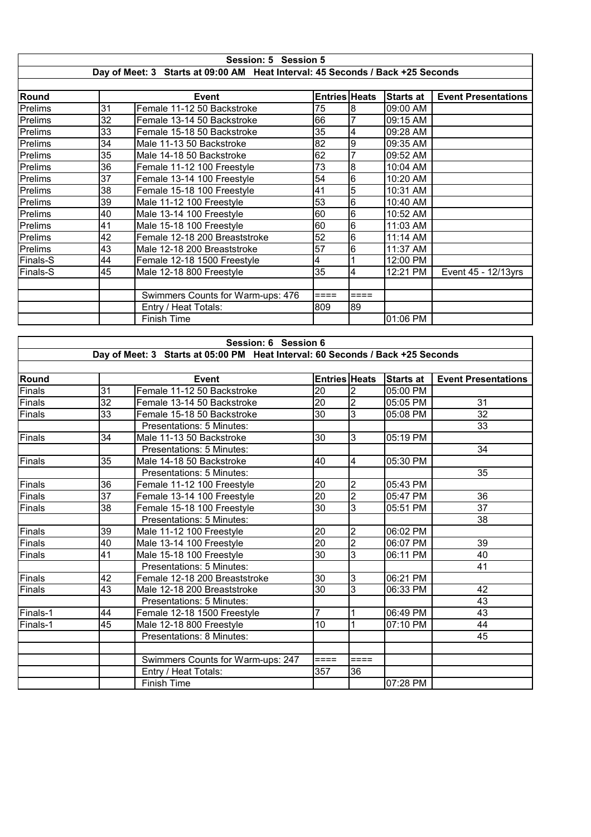|                                                                                | Session: 5 Session 5 |                                   |                      |        |                  |                            |  |  |
|--------------------------------------------------------------------------------|----------------------|-----------------------------------|----------------------|--------|------------------|----------------------------|--|--|
| Day of Meet: 3 Starts at 09:00 AM Heat Interval: 45 Seconds / Back +25 Seconds |                      |                                   |                      |        |                  |                            |  |  |
|                                                                                |                      |                                   |                      |        |                  |                            |  |  |
| Round                                                                          |                      | Event                             | <b>Entries Heats</b> |        | <b>Starts at</b> | <b>Event Presentations</b> |  |  |
| Prelims                                                                        | 31                   | Female 11-12 50 Backstroke        | 75                   | 8      | 09:00 AM         |                            |  |  |
| Prelims                                                                        | 32                   | Female 13-14 50 Backstroke        | 66                   | 7      | 09:15 AM         |                            |  |  |
| Prelims                                                                        | 33                   | Female 15-18 50 Backstroke        | 35                   | 4      | 09:28 AM         |                            |  |  |
| Prelims                                                                        | 34                   | Male 11-13 50 Backstroke          | 82                   | 9      | 09:35 AM         |                            |  |  |
| Prelims                                                                        | 35                   | Male 14-18 50 Backstroke          | 62                   | 7      | 09:52 AM         |                            |  |  |
| Prelims                                                                        | 36                   | Female 11-12 100 Freestyle        | 73                   | 8      | 10:04 AM         |                            |  |  |
| Prelims                                                                        | 37                   | Female 13-14 100 Freestyle        | 54                   | 6      | 10:20 AM         |                            |  |  |
| Prelims                                                                        | 38                   | Female 15-18 100 Freestyle        | 41                   | 5      | 10:31 AM         |                            |  |  |
| Prelims                                                                        | 39                   | Male 11-12 100 Freestyle          | 53                   | 6      | 10:40 AM         |                            |  |  |
| Prelims                                                                        | 40                   | Male 13-14 100 Freestyle          | 60                   | 6      | $10:52$ AM       |                            |  |  |
| Prelims                                                                        | 41                   | Male 15-18 100 Freestyle          | 60                   | 6      | 11:03 AM         |                            |  |  |
| Prelims                                                                        | 42                   | Female 12-18 200 Breaststroke     | $\overline{52}$      | 6      | 11:14 AM         |                            |  |  |
| Prelims                                                                        | 43                   | Male 12-18 200 Breaststroke       | 57                   | 6      | 11:37 AM         |                            |  |  |
| <b>Finals-S</b>                                                                | 44                   | Female 12-18 1500 Freestyle       | 4                    |        | 12:00 PM         |                            |  |  |
| <b>Finals-S</b>                                                                | 45                   | Male 12-18 800 Freestyle          | 35                   | 4      | 12:21 PM         | Event 45 - 12/13yrs        |  |  |
|                                                                                |                      |                                   |                      |        |                  |                            |  |  |
|                                                                                |                      | Swimmers Counts for Warm-ups: 476 | $====$               | $====$ |                  |                            |  |  |
|                                                                                |                      | Entry / Heat Totals:              | 809                  | 89     |                  |                            |  |  |
|                                                                                |                      | <b>Finish Time</b>                |                      |        | 01:06 PM         |                            |  |  |

|          | Session: 6 Session 6 |                                                                                |                 |                |                  |                            |  |  |
|----------|----------------------|--------------------------------------------------------------------------------|-----------------|----------------|------------------|----------------------------|--|--|
|          |                      | Day of Meet: 3 Starts at 05:00 PM Heat Interval: 60 Seconds / Back +25 Seconds |                 |                |                  |                            |  |  |
| Round    |                      | <b>Event</b>                                                                   | Entries Heats   |                | <b>Starts at</b> |                            |  |  |
| Finals   | 31                   | Female 11-12 50 Backstroke                                                     | 20              | 2              | 05:00 PM         | <b>Event Presentations</b> |  |  |
| Finals   | 32                   | Female 13-14 50 Backstroke                                                     | 20              | $\overline{2}$ | 05:05 PM         | 31                         |  |  |
| Finals   | 33                   |                                                                                | 30              | 3              | 05:08 PM         | 32                         |  |  |
|          |                      | Female 15-18 50 Backstroke<br>Presentations: 5 Minutes:                        |                 |                |                  | 33                         |  |  |
|          | 34                   |                                                                                |                 |                |                  |                            |  |  |
| Finals   |                      | Male 11-13 50 Backstroke<br>Presentations: 5 Minutes:                          | 30              | 3              | 05:19 PM         | 34                         |  |  |
|          |                      |                                                                                |                 |                |                  |                            |  |  |
| Finals   | 35                   | Male 14-18 50 Backstroke                                                       | 40              | 4              | 05:30 PM         |                            |  |  |
|          |                      | Presentations: 5 Minutes:                                                      |                 |                |                  | 35                         |  |  |
| Finals   | 36                   | Female 11-12 100 Freestyle                                                     | 20              | $\overline{2}$ | 05:43 PM         |                            |  |  |
| Finals   | 37                   | Female 13-14 100 Freestyle                                                     | $\overline{20}$ | $\overline{2}$ | 05:47 PM         | 36                         |  |  |
| Finals   | 38                   | Female 15-18 100 Freestyle                                                     | 30              | 3              | 05:51 PM         | 37                         |  |  |
|          |                      | Presentations: 5 Minutes:                                                      |                 |                |                  | 38                         |  |  |
| Finals   | 39                   | Male 11-12 100 Freestyle                                                       | 20              | $\overline{c}$ | 06:02 PM         |                            |  |  |
| Finals   | 40                   | Male 13-14 100 Freestyle                                                       | $\overline{20}$ | $\overline{2}$ | 06:07 PM         | 39                         |  |  |
| Finals   | 41                   | Male 15-18 100 Freestyle                                                       | 30              | 3              | 06:11 PM         | 40                         |  |  |
|          |                      | Presentations: 5 Minutes:                                                      |                 |                |                  | 41                         |  |  |
| Finals   | 42                   | Female 12-18 200 Breaststroke                                                  | 30              | 3              | 06:21 PM         |                            |  |  |
| Finals   | 43                   | Male 12-18 200 Breaststroke                                                    | 30              | 3              | 06:33 PM         | 42                         |  |  |
|          |                      | Presentations: 5 Minutes:                                                      |                 |                |                  | 43                         |  |  |
| Finals-1 | 44                   | Female 12-18 1500 Freestyle                                                    | $\overline{7}$  |                | 06:49 PM         | 43                         |  |  |
| Finals-1 | 45                   | Male 12-18 800 Freestyle                                                       | 10              |                | 07:10 PM         | 44                         |  |  |
|          |                      | Presentations: 8 Minutes:                                                      |                 |                |                  | 45                         |  |  |
|          |                      |                                                                                |                 |                |                  |                            |  |  |
|          |                      | Swimmers Counts for Warm-ups: 247                                              | $====$          | ====           |                  |                            |  |  |
|          |                      | Entry / Heat Totals:                                                           | 357             | 36             |                  |                            |  |  |
|          |                      | <b>Finish Time</b>                                                             |                 |                | 07:28 PM         |                            |  |  |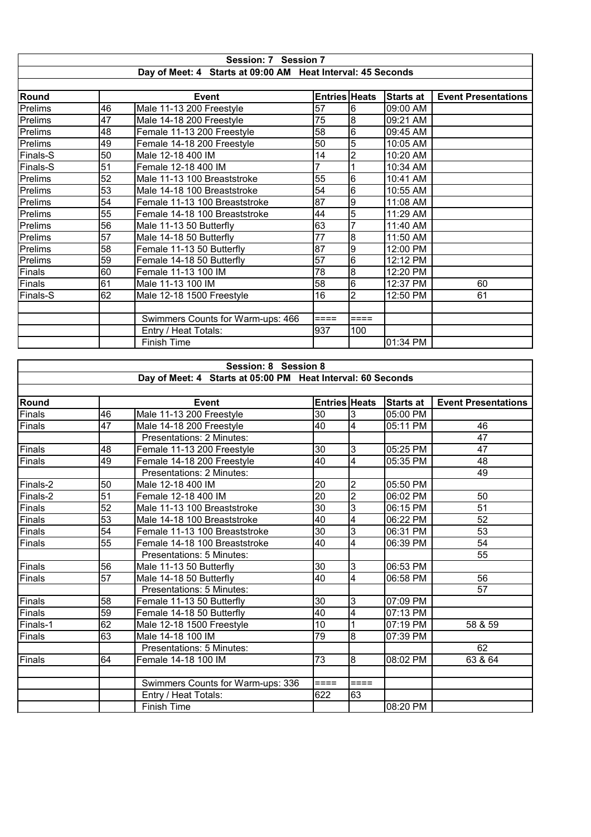| Session: 7 Session 7 |    |                                                             |                      |                 |                  |                            |  |
|----------------------|----|-------------------------------------------------------------|----------------------|-----------------|------------------|----------------------------|--|
|                      |    | Day of Meet: 4 Starts at 09:00 AM Heat Interval: 45 Seconds |                      |                 |                  |                            |  |
|                      |    |                                                             |                      |                 |                  |                            |  |
| Round                |    | <b>Event</b>                                                | <b>Entries Heats</b> |                 | <b>Starts at</b> | <b>Event Presentations</b> |  |
| Prelims              | 46 | Male 11-13 200 Freestyle                                    | 57                   | $6\phantom{.}6$ | 09:00 AM         |                            |  |
| Prelims              | 47 | Male 14-18 200 Freestyle                                    | 75                   | 8               | 09:21 AM         |                            |  |
| Prelims              | 48 | Female 11-13 200 Freestyle                                  | 58                   | 6               | 09:45 AM         |                            |  |
| Prelims              | 49 | Female 14-18 200 Freestyle                                  | 50                   | $\overline{5}$  | 10:05 AM         |                            |  |
| Finals-S             | 50 | Male 12-18 400 IM                                           | 14                   | $\overline{2}$  | 10:20 AM         |                            |  |
| Finals-S             | 51 | Female 12-18 400 IM                                         |                      |                 | 10:34 AM         |                            |  |
| Prelims              | 52 | Male 11-13 100 Breaststroke                                 | 55                   | l6              | 10:41 AM         |                            |  |
| Prelims              | 53 | Male 14-18 100 Breaststroke                                 | 54                   | l6              | 10:55 AM         |                            |  |
| Prelims              | 54 | Female 11-13 100 Breaststroke                               | 87                   | 9               | 11:08 AM         |                            |  |
| Prelims              | 55 | Female 14-18 100 Breaststroke                               | 44                   | 5               | 11:29 AM         |                            |  |
| Prelims              | 56 | Male 11-13 50 Butterfly                                     | 63                   | $\overline{7}$  | 11:40 AM         |                            |  |
| Prelims              | 57 | Male 14-18 50 Butterfly                                     | 77                   | l8              | 11:50 AM         |                            |  |
| Prelims              | 58 | Female 11-13 50 Butterfly                                   | 87                   | 9               | 12:00 PM         |                            |  |
| Prelims              | 59 | Female 14-18 50 Butterfly                                   | $\overline{57}$      | l6              | 12:12 PM         |                            |  |
| Finals               | 60 | Female 11-13 100 IM                                         | $\overline{78}$      | 8               | 12:20 PM         |                            |  |
| Finals               | 61 | Male 11-13 100 IM                                           | 58                   | $6\phantom{.}6$ | 12:37 PM         | 60                         |  |
| Finals-S             | 62 | Male 12-18 1500 Freestyle                                   | 16                   | $\overline{2}$  | 12:50 PM         | 61                         |  |
|                      |    |                                                             |                      |                 |                  |                            |  |
|                      |    | Swimmers Counts for Warm-ups: 466                           | $====$               | ====            |                  |                            |  |
|                      |    | Entry / Heat Totals:                                        | 937                  | 100             |                  |                            |  |
|                      |    | <b>Finish Time</b>                                          |                      |                 | 01:34 PM         |                            |  |

|                               | Session: 8 Session 8 |                                                             |                 |                          |                  |                            |  |
|-------------------------------|----------------------|-------------------------------------------------------------|-----------------|--------------------------|------------------|----------------------------|--|
|                               |                      | Day of Meet: 4 Starts at 05:00 PM Heat Interval: 60 Seconds |                 |                          |                  |                            |  |
|                               |                      |                                                             |                 |                          |                  |                            |  |
| Round                         |                      | <b>Event</b>                                                |                 | <b>Entries Heats</b>     | <b>Starts at</b> | <b>Event Presentations</b> |  |
| Finals                        | 46                   | Male 11-13 200 Freestyle                                    | 30              | $\overline{3}$           | 05:00 PM         |                            |  |
| Finals                        | $\overline{47}$      | Male 14-18 200 Freestyle                                    | 40              | $\overline{4}$           | 05:11 PM         | 46                         |  |
|                               |                      | Presentations: 2 Minutes:                                   |                 |                          |                  | 47                         |  |
| $\overline{\mathsf{F}}$ inals | 48                   | Female 11-13 200 Freestyle                                  | 30              | $\mathbf{3}$             | 05:25 PM         | 47                         |  |
| Finals                        | 49                   | Female 14-18 200 Freestyle                                  | 40              | $\overline{\mathbf{4}}$  | 05:35 PM         | 48                         |  |
|                               |                      | Presentations: 2 Minutes:                                   |                 |                          |                  | 49                         |  |
| Finals-2                      | 50                   | Male 12-18 400 IM                                           | 20              | $\overline{2}$           | 05:50 PM         |                            |  |
| Finals-2                      | $\overline{51}$      | Female 12-18 400 IM                                         | $\overline{20}$ | $\overline{2}$           | 06:02 PM         | 50                         |  |
| Finals                        | 52                   | Male 11-13 100 Breaststroke                                 | $\overline{30}$ | 3                        | 06:15 PM         | 51                         |  |
| Finals                        | 53                   | Male 14-18 100 Breaststroke                                 | 40              | $\overline{\mathcal{A}}$ | 06:22 PM         | 52                         |  |
| Finals                        | $\overline{54}$      | Female 11-13 100 Breaststroke                               | 30              | 3                        | 06:31 PM         | 53                         |  |
| Finals                        | $\overline{55}$      | Female 14-18 100 Breaststroke                               | 40              | $\overline{4}$           | 06:39 PM         | 54                         |  |
|                               |                      | Presentations: 5 Minutes:                                   |                 |                          |                  | 55                         |  |
| Finals                        | 56                   | Male 11-13 50 Butterfly                                     | 30              | $\overline{3}$           | 06:53 PM         |                            |  |
| Finals                        | $\overline{57}$      | Male 14-18 50 Butterfly                                     | 40              | $\overline{4}$           | 06:58 PM         | 56                         |  |
|                               |                      | Presentations: 5 Minutes:                                   |                 |                          |                  | 57                         |  |
| Finals                        | 58                   | Female 11-13 50 Butterfly                                   | 30              | 3                        | 07:09 PM         |                            |  |
| Finals                        | 59                   | Female 14-18 50 Butterfly                                   | 40              | $\overline{4}$           | 07:13 PM         |                            |  |
| Finals-1                      | 62                   | Male 12-18 1500 Freestyle                                   | 10              |                          | 07:19 PM         | 58 & 59                    |  |
| Finals                        | 63                   | Male 14-18 100 IM                                           | 79              | $\overline{8}$           | 07:39 PM         |                            |  |
|                               |                      | Presentations: 5 Minutes:                                   |                 |                          |                  | 62                         |  |
| Finals                        | 64                   | Female 14-18 100 IM                                         | 73              | l8                       | 08:02 PM         | 63 & 64                    |  |
|                               |                      |                                                             |                 |                          |                  |                            |  |
|                               |                      | Swimmers Counts for Warm-ups: 336                           | $====$          | $====$                   |                  |                            |  |
|                               |                      | Entry / Heat Totals:                                        | 622             | 63                       |                  |                            |  |
|                               |                      | Finish Time                                                 |                 |                          | 08:20 PM         |                            |  |